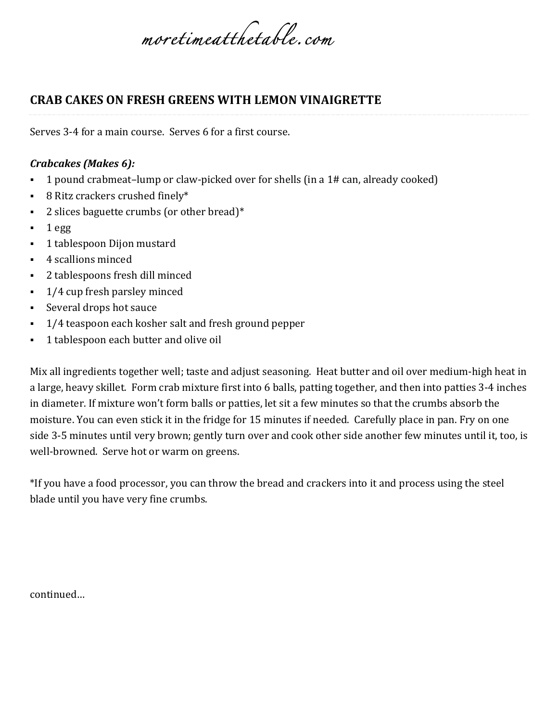*moretimeatthetable.com* 

## **CRAB CAKES ON FRESH GREENS WITH LEMON VINAIGRETTE**

Serves 3-4 for a main course. Serves 6 for a first course.

## *Crabcakes (Makes 6):*

- 1 pound crabmeat–lump or claw-picked over for shells (in a 1# can, already cooked)
- $\blacksquare$  8 Ritz crackers crushed finely\*
- 2 slices baguette crumbs (or other bread) $*$
- $\blacksquare$  1 egg
- 1 tablespoon Dijon mustard
- § 4 scallions minced
- 2 tablespoons fresh dill minced
- $\blacksquare$  1/4 cup fresh parsley minced
- Several drops hot sauce
- 1/4 teaspoon each kosher salt and fresh ground pepper
- 1 tablespoon each butter and olive oil

Mix all ingredients together well; taste and adjust seasoning. Heat butter and oil over medium-high heat in a large, heavy skillet. Form crab mixture first into 6 balls, patting together, and then into patties 3-4 inches in diameter. If mixture won't form balls or patties, let sit a few minutes so that the crumbs absorb the moisture. You can even stick it in the fridge for 15 minutes if needed. Carefully place in pan. Fry on one side 3-5 minutes until very brown; gently turn over and cook other side another few minutes until it, too, is well-browned. Serve hot or warm on greens.

\*If you have a food processor, you can throw the bread and crackers into it and process using the steel blade until you have very fine crumbs.

continued…